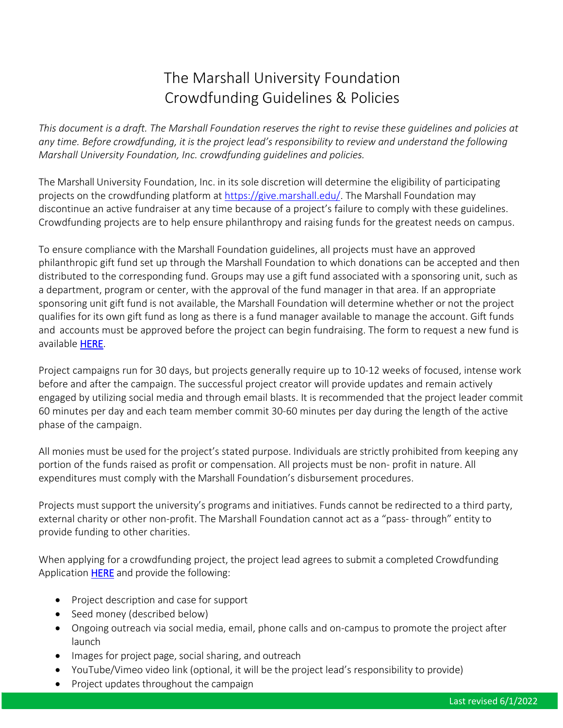## The Marshall University Foundation Crowdfunding Guidelines & Policies

*This document is a draft. The Marshall Foundation reserves the right to revise these guidelines and policies at any time. Before crowdfunding, it is the project lead's responsibility to review and understand the following Marshall University Foundation, Inc. crowdfunding guidelines and policies.* 

The Marshall University Foundation, Inc. in its sole discretion will determine the eligibility of participating projects on the crowdfunding platform at [https://give.marshall.edu/.](https://give.marshall.edu/) The Marshall Foundation may discontinue an active fundraiser at any time because of a project's failure to comply with these guidelines. Crowdfunding projects are to help ensure philanthropy and raising funds for the greatest needs on campus.

To ensure compliance with the Marshall Foundation guidelines, all projects must have an approved philanthropic gift fund set up through the Marshall Foundation to which donations can be accepted and then distributed to the corresponding fund. Groups may use a gift fund associated with a sponsoring unit, such as a department, program or center, with the approval of the fund manager in that area. If an appropriate sponsoring unit gift fund is not available, the Marshall Foundation will determine whether or not the project qualifies for its own gift fund as long as there is a fund manager available to manage the account. Gift funds and accounts must be approved before the project can begin fundraising. The form to request a new fund is available [HERE.](http://www.marshall.edu/foundation/files/2022/05/MUFI-New-Fund-Request-Form.pdf)

Project campaigns run for 30 days, but projects generally require up to 10-12 weeks of focused, intense work before and after the campaign. The successful project creator will provide updates and remain actively engaged by utilizing social media and through email blasts. It is recommended that the project leader commit 60 minutes per day and each team member commit 30-60 minutes per day during the length of the active phase of the campaign.

All monies must be used for the project's stated purpose. Individuals are strictly prohibited from keeping any portion of the funds raised as profit or compensation. All projects must be non- profit in nature. All expenditures must comply with the Marshall Foundation's disbursement procedures.

Projects must support the university's programs and initiatives. Funds cannot be redirected to a third party, external charity or other non-profit. The Marshall Foundation cannot act as a "pass- through" entity to provide funding to other charities.

When applying for a crowdfunding project, the project lead agrees to submit a completed Crowdfunding Application [HERE](https://give.marshall.edu/submit-application) and provide the following:

- Project description and case for support
- Seed money (described below)
- Ongoing outreach via social media, email, phone calls and on-campus to promote the project after launch
- Images for project page, social sharing, and outreach
- YouTube/Vimeo video link (optional, it will be the project lead's responsibility to provide)
- Project updates throughout the campaign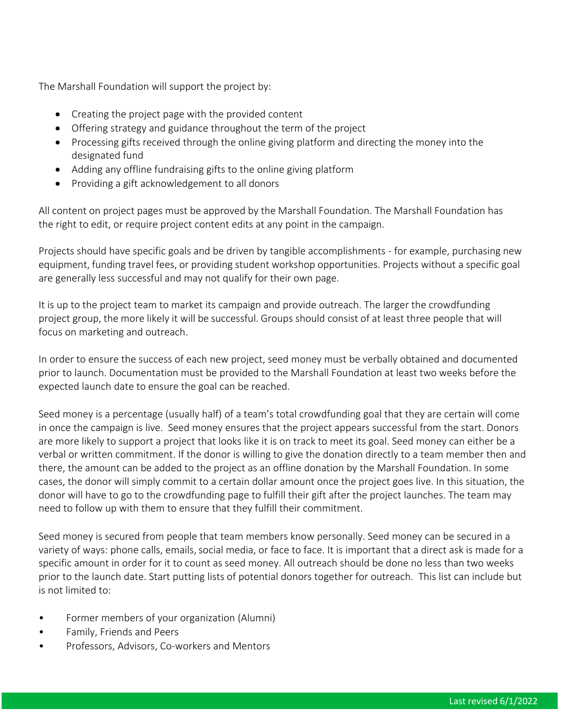The Marshall Foundation will support the project by:

- Creating the project page with the provided content
- Offering strategy and guidance throughout the term of the project
- Processing gifts received through the online giving platform and directing the money into the designated fund
- Adding any offline fundraising gifts to the online giving platform
- Providing a gift acknowledgement to all donors

All content on project pages must be approved by the Marshall Foundation. The Marshall Foundation has the right to edit, or require project content edits at any point in the campaign.

Projects should have specific goals and be driven by tangible accomplishments - for example, purchasing new equipment, funding travel fees, or providing student workshop opportunities. Projects without a specific goal are generally less successful and may not qualify for their own page.

It is up to the project team to market its campaign and provide outreach. The larger the crowdfunding project group, the more likely it will be successful. Groups should consist of at least three people that will focus on marketing and outreach.

In order to ensure the success of each new project, seed money must be verbally obtained and documented prior to launch. Documentation must be provided to the Marshall Foundation at least two weeks before the expected launch date to ensure the goal can be reached.

Seed money is a percentage (usually half) of a team's total crowdfunding goal that they are certain will come in once the campaign is live. Seed money ensures that the project appears successful from the start. Donors are more likely to support a project that looks like it is on track to meet its goal. Seed money can either be a verbal or written commitment. If the donor is willing to give the donation directly to a team member then and there, the amount can be added to the project as an offline donation by the Marshall Foundation. In some cases, the donor will simply commit to a certain dollar amount once the project goes live. In this situation, the donor will have to go to the crowdfunding page to fulfill their gift after the project launches. The team may need to follow up with them to ensure that they fulfill their commitment.

Seed money is secured from people that team members know personally. Seed money can be secured in a variety of ways: phone calls, emails, social media, or face to face. It is important that a direct ask is made for a specific amount in order for it to count as seed money. All outreach should be done no less than two weeks prior to the launch date. Start putting lists of potential donors together for outreach. This list can include but is not limited to:

- Former members of your organization (Alumni)
- Family, Friends and Peers
- Professors, Advisors, Co-workers and Mentors